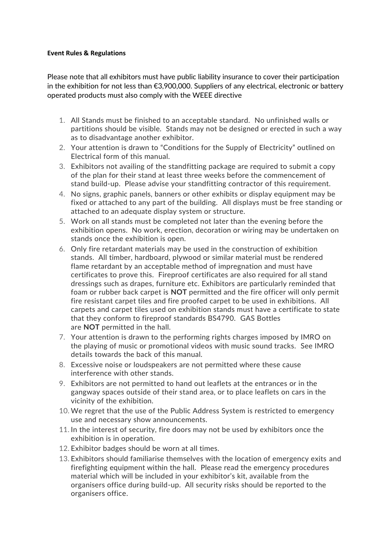## **Event Rules & Regulations**

Please note that all exhibitors must have public liability insurance to cover their participation in the exhibition for not less than €3,900,000. Suppliers of any electrical, electronic or battery operated products must also comply with the WEEE directive

- 1. All Stands must be finished to an acceptable standard. No unfinished walls or partitions should be visible. Stands may not be designed or erected in such a way as to disadvantage another exhibitor.
- 2. Your attention is drawn to "Conditions for the Supply of Electricity" outlined on Electrical form of this manual.
- 3. Exhibitors not availing of the standfitting package are required to submit a copy of the plan for their stand at least three weeks before the commencement of stand build-up. Please advise your standfitting contractor of this requirement.
- 4. No signs, graphic panels, banners or other exhibits or display equipment may be fixed or attached to any part of the building. All displays must be free standing or attached to an adequate display system or structure.
- 5. Work on all stands must be completed not later than the evening before the exhibition opens. No work, erection, decoration or wiring may be undertaken on stands once the exhibition is open.
- 6. Only fire retardant materials may be used in the construction of exhibition stands. All timber, hardboard, plywood or similar material must be rendered flame retardant by an acceptable method of impregnation and must have certificates to prove this. Fireproof certificates are also required for all stand dressings such as drapes, furniture etc. Exhibitors are particularly reminded that foam or rubber back carpet is **NOT** permitted and the fire officer will only permit fire resistant carpet tiles and fire proofed carpet to be used in exhibitions. All carpets and carpet tiles used on exhibition stands must have a certificate to state that they conform to fireproof standards BS4790. GAS Bottles are **NOT** permitted in the hall.
- 7. Your attention is drawn to the performing rights charges imposed by IMRO on the playing of music or promotional videos with music sound tracks. See IMRO details towards the back of this manual.
- 8. Excessive noise or loudspeakers are not permitted where these cause interference with other stands.
- 9. Exhibitors are not permitted to hand out leaflets at the entrances or in the gangway spaces outside of their stand area, or to place leaflets on cars in the vicinity of the exhibition.
- 10. We regret that the use of the Public Address System is restricted to emergency use and necessary show announcements.
- 11. In the interest of security, fire doors may not be used by exhibitors once the exhibition is in operation.
- 12. Exhibitor badges should be worn at all times.
- 13. Exhibitors should familiarise themselves with the location of emergency exits and firefighting equipment within the hall. Please read the emergency procedures material which will be included in your exhibitor's kit, available from the organisers office during build-up. All security risks should be reported to the organisers office.